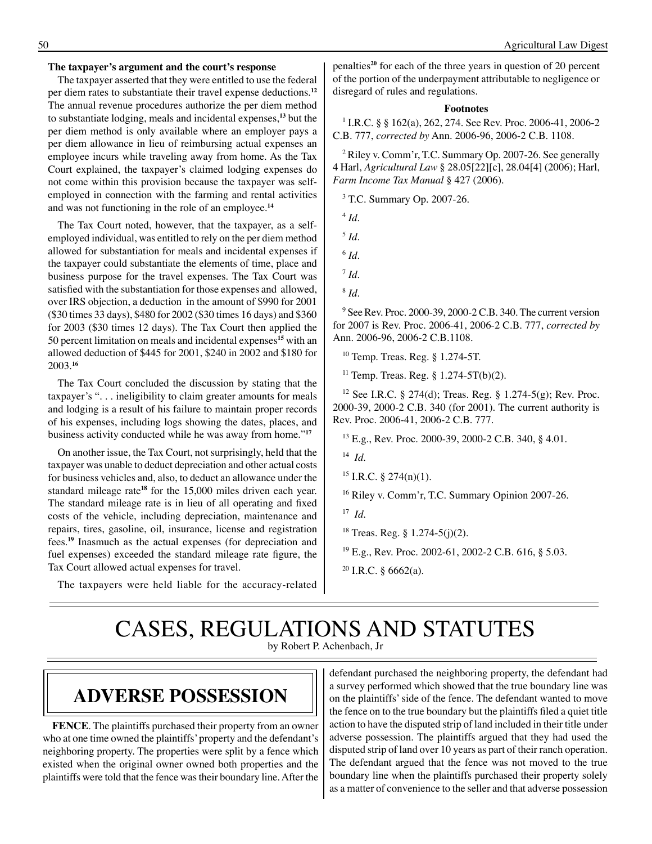#### **The taxpayer's argument and the court's response**

The taxpayer asserted that they were entitled to use the federal per diem rates to substantiate their travel expense deductions.**<sup>12</sup>** The annual revenue procedures authorize the per diem method to substantiate lodging, meals and incidental expenses,**<sup>13</sup>** but the per diem method is only available where an employer pays a per diem allowance in lieu of reimbursing actual expenses an employee incurs while traveling away from home. As the Tax Court explained, the taxpayer's claimed lodging expenses do not come within this provision because the taxpayer was selfemployed in connection with the farming and rental activities and was not functioning in the role of an employee.**<sup>14</sup>**

The Tax Court noted, however, that the taxpayer, as a selfemployed individual, was entitled to rely on the per diem method allowed for substantiation for meals and incidental expenses if the taxpayer could substantiate the elements of time, place and business purpose for the travel expenses. The Tax Court was satisfied with the substantiation for those expenses and allowed, over IRS objection, a deduction in the amount of \$990 for 2001 (\$30 times 33 days), \$480 for 2002 (\$30 times 16 days) and \$360 for 2003 (\$30 times 12 days). The Tax Court then applied the 50 percent limitation on meals and incidental expenses**<sup>15</sup>** with an allowed deduction of \$445 for 2001, \$240 in 2002 and \$180 for 2003.**<sup>16</sup>**

The Tax Court concluded the discussion by stating that the taxpayer's ". . . ineligibility to claim greater amounts for meals and lodging is a result of his failure to maintain proper records of his expenses, including logs showing the dates, places, and business activity conducted while he was away from home."**<sup>17</sup>**

On another issue, the Tax Court, not surprisingly, held that the taxpayer was unable to deduct depreciation and other actual costs for business vehicles and, also, to deduct an allowance under the standard mileage rate**<sup>18</sup>** for the 15,000 miles driven each year. The standard mileage rate is in lieu of all operating and fixed costs of the vehicle, including depreciation, maintenance and repairs, tires, gasoline, oil, insurance, license and registration fees.**<sup>19</sup>** Inasmuch as the actual expenses (for depreciation and fuel expenses) exceeded the standard mileage rate figure, the Tax Court allowed actual expenses for travel.

The taxpayers were held liable for the accuracy-related

penalties**<sup>20</sup>** for each of the three years in question of 20 percent of the portion of the underpayment attributable to negligence or disregard of rules and regulations.

#### **Footnotes**

1 I.R.C. § § 162(a), 262, 274. See Rev. Proc. 2006-41, 2006-2 C.B. 777, *corrected by* Ann. 2006-96, 2006-2 C.B. 1108.

<sup>2</sup> Riley v. Comm'r, T.C. Summary Op. 2007-26. See generally 4 Harl, *Agricultural Law* § 28.05[22][c], 28.04[4] (2006); Harl, *Farm Income Tax Manual* § 427 (2006).

3 T.C. Summary Op. 2007-26.

<sup>4</sup> *Id*.

<sup>5</sup> *Id*.

<sup>6</sup> *Id*.

- $^7$  *Id.*
- 8  *Id*.

9 See Rev. Proc. 2000-39, 2000-2 C.B. 340. The current version for 2007 is Rev. Proc. 2006-41, 2006-2 C.B. 777, *corrected by* Ann. 2006-96, 2006-2 C.B.1108.

10 Temp. Treas. Reg. § 1.274-5T.

<sup>11</sup> Temp. Treas. Reg. §  $1.274 - 5T(b)(2)$ .

<sup>12</sup> See I.R.C. § 274(d); Treas. Reg. § 1.274-5(g); Rev. Proc. 2000-39, 2000-2 C.B. 340 (for 2001). The current authority is Rev. Proc. 2006-41, 2006-2 C.B. 777.

13 E.g., Rev. Proc. 2000-39, 2000-2 C.B. 340, § 4.01.

14 *Id*.

<sup>16</sup> Riley v. Comm'r, T.C. Summary Opinion 2007-26.

17 *Id*.

18 Treas. Reg. § 1.274-5(j)(2).

19 E.g., Rev. Proc. 2002-61, 2002-2 C.B. 616, § 5.03.

#### CASES, REGULATIONS AND STATUTES by Robert P. Achenbach, Jr

### **Adverse possession**

**FENCE**. The plaintiffs purchased their property from an owner who at one time owned the plaintiffs' property and the defendant's neighboring property. The properties were split by a fence which existed when the original owner owned both properties and the plaintiffs were told that the fence was their boundary line. After the

defendant purchased the neighboring property, the defendant had a survey performed which showed that the true boundary line was on the plaintiffs' side of the fence. The defendant wanted to move the fence on to the true boundary but the plaintiffs filed a quiet title action to have the disputed strip of land included in their title under adverse possession. The plaintiffs argued that they had used the disputed strip of land over 10 years as part of their ranch operation. The defendant argued that the fence was not moved to the true boundary line when the plaintiffs purchased their property solely as a matter of convenience to the seller and that adverse possession

 $15$  I.R.C. § 274(n)(1).

 $20$  I.R.C. § 6662(a).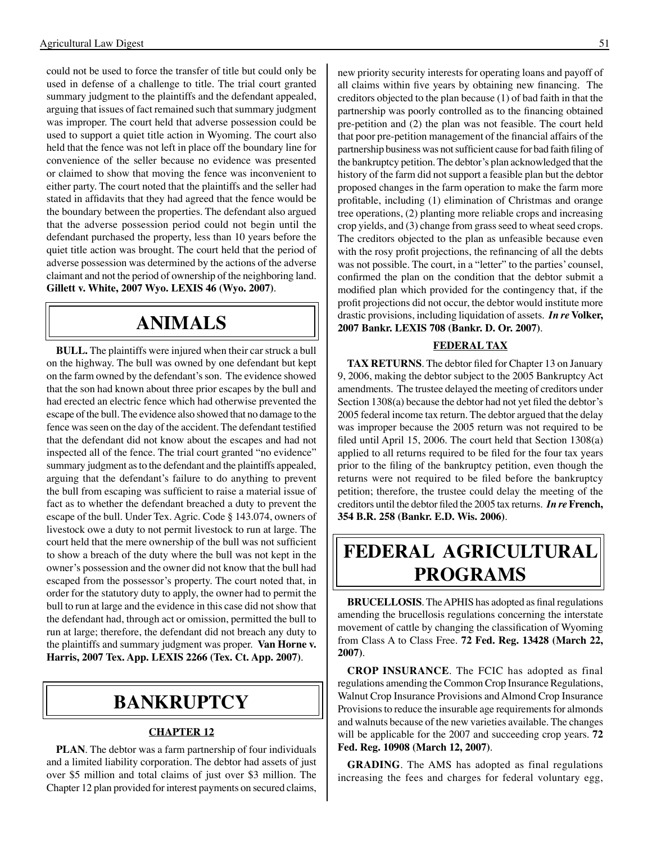could not be used to force the transfer of title but could only be used in defense of a challenge to title. The trial court granted summary judgment to the plaintiffs and the defendant appealed, arguing that issues of fact remained such that summary judgment was improper. The court held that adverse possession could be used to support a quiet title action in Wyoming. The court also held that the fence was not left in place off the boundary line for convenience of the seller because no evidence was presented or claimed to show that moving the fence was inconvenient to either party. The court noted that the plaintiffs and the seller had stated in affidavits that they had agreed that the fence would be the boundary between the properties. The defendant also argued that the adverse possession period could not begin until the defendant purchased the property, less than 10 years before the quiet title action was brought. The court held that the period of adverse possession was determined by the actions of the adverse claimant and not the period of ownership of the neighboring land. **Gillett v. White, 2007 Wyo. LEXIS 46 (Wyo. 2007)**.

## **Animals**

**BULL.** The plaintiffs were injured when their car struck a bull on the highway. The bull was owned by one defendant but kept on the farm owned by the defendant's son. The evidence showed that the son had known about three prior escapes by the bull and had erected an electric fence which had otherwise prevented the escape of the bull. The evidence also showed that no damage to the fence was seen on the day of the accident. The defendant testified that the defendant did not know about the escapes and had not inspected all of the fence. The trial court granted "no evidence" summary judgment as to the defendant and the plaintiffs appealed, arguing that the defendant's failure to do anything to prevent the bull from escaping was sufficient to raise a material issue of fact as to whether the defendant breached a duty to prevent the escape of the bull. Under Tex. Agric. Code § 143.074, owners of livestock owe a duty to not permit livestock to run at large. The court held that the mere ownership of the bull was not sufficient to show a breach of the duty where the bull was not kept in the owner's possession and the owner did not know that the bull had escaped from the possessor's property. The court noted that, in order for the statutory duty to apply, the owner had to permit the bull to run at large and the evidence in this case did not show that the defendant had, through act or omission, permitted the bull to run at large; therefore, the defendant did not breach any duty to the plaintiffs and summary judgment was proper. **Van Horne v. Harris, 2007 Tex. App. LEXIS 2266 (Tex. Ct. App. 2007)**.

### **bankruptcy**

#### **CHAPTER 12**

**PLAN**. The debtor was a farm partnership of four individuals and a limited liability corporation. The debtor had assets of just over \$5 million and total claims of just over \$3 million. The Chapter 12 plan provided for interest payments on secured claims,

new priority security interests for operating loans and payoff of all claims within five years by obtaining new financing. The creditors objected to the plan because (1) of bad faith in that the partnership was poorly controlled as to the financing obtained pre-petition and (2) the plan was not feasible. The court held that poor pre-petition management of the financial affairs of the partnership business was not sufficient cause for bad faith filing of the bankruptcy petition. The debtor's plan acknowledged that the history of the farm did not support a feasible plan but the debtor proposed changes in the farm operation to make the farm more profitable, including (1) elimination of Christmas and orange tree operations, (2) planting more reliable crops and increasing crop yields, and (3) change from grass seed to wheat seed crops. The creditors objected to the plan as unfeasible because even with the rosy profit projections, the refinancing of all the debts was not possible. The court, in a "letter" to the parties' counsel, confirmed the plan on the condition that the debtor submit a modified plan which provided for the contingency that, if the profit projections did not occur, the debtor would institute more drastic provisions, including liquidation of assets. *In re* **Volker, 2007 Bankr. LEXIS 708 (Bankr. D. Or. 2007)**.

#### **FEDERAL TAX**

**TAX RETURNS**. The debtor filed for Chapter 13 on January 9, 2006, making the debtor subject to the 2005 Bankruptcy Act amendments. The trustee delayed the meeting of creditors under Section 1308(a) because the debtor had not yet filed the debtor's 2005 federal income tax return. The debtor argued that the delay was improper because the 2005 return was not required to be filed until April 15, 2006. The court held that Section 1308(a) applied to all returns required to be filed for the four tax years prior to the filing of the bankruptcy petition, even though the returns were not required to be filed before the bankruptcy petition; therefore, the trustee could delay the meeting of the creditors until the debtor filed the 2005 tax returns. *In re* **French, 354 B.R. 258 (Bankr. E.D. Wis. 2006)**.

# **federal agricultural programs**

**BRUCELLOSIS**. The APHIS has adopted as final regulations amending the brucellosis regulations concerning the interstate movement of cattle by changing the classification of Wyoming from Class A to Class Free. **72 Fed. Reg. 13428 (March 22, 2007)**.

**CROP INSURANCE**. The FCIC has adopted as final regulations amending the Common Crop Insurance Regulations, Walnut Crop Insurance Provisions and Almond Crop Insurance Provisions to reduce the insurable age requirements for almonds and walnuts because of the new varieties available. The changes will be applicable for the 2007 and succeeding crop years. **72 Fed. Reg. 10908 (March 12, 2007)**.

**GRADING**. The AMS has adopted as final regulations increasing the fees and charges for federal voluntary egg,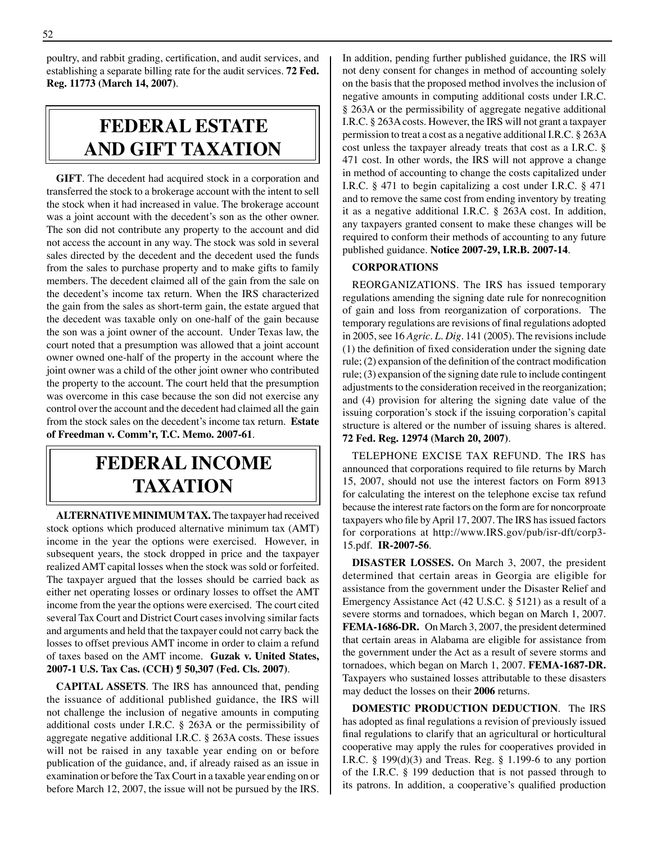poultry, and rabbit grading, certification, and audit services, and establishing a separate billing rate for the audit services. **72 Fed. Reg. 11773 (March 14, 2007)**.

# **federal ESTATE AND GIFT taxation**

**GIFT**. The decedent had acquired stock in a corporation and transferred the stock to a brokerage account with the intent to sell the stock when it had increased in value. The brokerage account was a joint account with the decedent's son as the other owner. The son did not contribute any property to the account and did not access the account in any way. The stock was sold in several sales directed by the decedent and the decedent used the funds from the sales to purchase property and to make gifts to family members. The decedent claimed all of the gain from the sale on the decedent's income tax return. When the IRS characterized the gain from the sales as short-term gain, the estate argued that the decedent was taxable only on one-half of the gain because the son was a joint owner of the account. Under Texas law, the court noted that a presumption was allowed that a joint account owner owned one-half of the property in the account where the joint owner was a child of the other joint owner who contributed the property to the account. The court held that the presumption was overcome in this case because the son did not exercise any control over the account and the decedent had claimed all the gain from the stock sales on the decedent's income tax return. **Estate of Freedman v. Comm'r, T.C. Memo. 2007-61**.

# **federal income taxation**

**ALTERNATIVE MINIMUM TAX.** The taxpayer had received stock options which produced alternative minimum tax (AMT) income in the year the options were exercised. However, in subsequent years, the stock dropped in price and the taxpayer realized AMT capital losses when the stock was sold or forfeited. The taxpayer argued that the losses should be carried back as either net operating losses or ordinary losses to offset the AMT income from the year the options were exercised. The court cited several Tax Court and District Court cases involving similar facts and arguments and held that the taxpayer could not carry back the losses to offset previous AMT income in order to claim a refund of taxes based on the AMT income. **Guzak v. United States, 2007-1 U.S. Tax Cas. (CCH) ¶ 50,307 (Fed. Cls. 2007)**.

**CAPITAL ASSETS**. The IRS has announced that, pending the issuance of additional published guidance, the IRS will not challenge the inclusion of negative amounts in computing additional costs under I.R.C. § 263A or the permissibility of aggregate negative additional I.R.C. § 263A costs. These issues will not be raised in any taxable year ending on or before publication of the guidance, and, if already raised as an issue in examination or before the Tax Court in a taxable year ending on or before March 12, 2007, the issue will not be pursued by the IRS. In addition, pending further published guidance, the IRS will not deny consent for changes in method of accounting solely on the basis that the proposed method involves the inclusion of negative amounts in computing additional costs under I.R.C. § 263A or the permissibility of aggregate negative additional I.R.C. § 263A costs. However, the IRS will not grant a taxpayer permission to treat a cost as a negative additional I.R.C. § 263A cost unless the taxpayer already treats that cost as a I.R.C. § 471 cost. In other words, the IRS will not approve a change in method of accounting to change the costs capitalized under I.R.C. § 471 to begin capitalizing a cost under I.R.C. § 471 and to remove the same cost from ending inventory by treating it as a negative additional I.R.C. § 263A cost. In addition, any taxpayers granted consent to make these changes will be required to conform their methods of accounting to any future published guidance. **Notice 2007-29, I.R.B. 2007-14**.

#### **CORPORATIONS**

REORGANIZATIONS. The IRS has issued temporary regulations amending the signing date rule for nonrecognition of gain and loss from reorganization of corporations. The temporary regulations are revisions of final regulations adopted in 2005, see 16 *Agric. L. Dig.* 141 (2005). The revisions include (1) the definition of fixed consideration under the signing date rule; (2) expansion of the definition of the contract modification rule; (3) expansion of the signing date rule to include contingent adjustments to the consideration received in the reorganization; and (4) provision for altering the signing date value of the issuing corporation's stock if the issuing corporation's capital structure is altered or the number of issuing shares is altered. **72 Fed. Reg. 12974 (March 20, 2007)**.

TELEPHONE EXCISE TAX REFUND. The IRS has announced that corporations required to file returns by March 15, 2007, should not use the interest factors on Form 8913 for calculating the interest on the telephone excise tax refund because the interest rate factors on the form are for noncorproate taxpayers who file by April 17, 2007. The IRS has issued factors for corporations at http://www.IRS.gov/pub/isr-dft/corp3- 15.pdf. **IR-2007-56**.

**DISASTER LOSSES.** On March 3, 2007, the president determined that certain areas in Georgia are eligible for assistance from the government under the Disaster Relief and Emergency Assistance Act (42 U.S.C. § 5121) as a result of a severe storms and tornadoes, which began on March 1, 2007. **FEMA-1686-DR.** On March 3, 2007, the president determined that certain areas in Alabama are eligible for assistance from the government under the Act as a result of severe storms and tornadoes, which began on March 1, 2007. **FEMA-1687-DR.**  Taxpayers who sustained losses attributable to these disasters may deduct the losses on their **2006** returns.

**DOMESTIC PRODUCTION DEDUCTION**. The IRS has adopted as final regulations a revision of previously issued final regulations to clarify that an agricultural or horticultural cooperative may apply the rules for cooperatives provided in I.R.C. § 199(d)(3) and Treas. Reg. § 1.199-6 to any portion of the I.R.C. § 199 deduction that is not passed through to its patrons. In addition, a cooperative's qualified production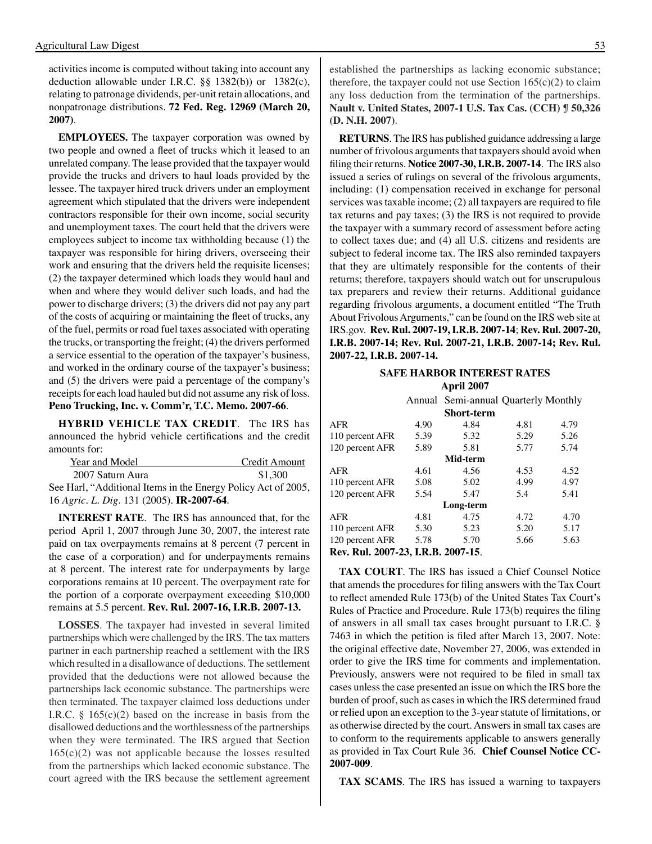activities income is computed without taking into account any deduction allowable under I.R.C. §§ 1382(b)) or 1382(c), relating to patronage dividends, per-unit retain allocations, and nonpatronage distributions. **72 Fed. Reg. 12969 (March 20, 2007)**.

**EMPLOYEES.** The taxpayer corporation was owned by two people and owned a fleet of trucks which it leased to an unrelated company. The lease provided that the taxpayer would provide the trucks and drivers to haul loads provided by the lessee. The taxpayer hired truck drivers under an employment agreement which stipulated that the drivers were independent contractors responsible for their own income, social security and unemployment taxes. The court held that the drivers were employees subject to income tax withholding because (1) the taxpayer was responsible for hiring drivers, overseeing their work and ensuring that the drivers held the requisite licenses; (2) the taxpayer determined which loads they would haul and when and where they would deliver such loads, and had the power to discharge drivers; (3) the drivers did not pay any part of the costs of acquiring or maintaining the fleet of trucks, any of the fuel, permits or road fuel taxes associated with operating the trucks, or transporting the freight; (4) the drivers performed a service essential to the operation of the taxpayer's business, and worked in the ordinary course of the taxpayer's business; and (5) the drivers were paid a percentage of the company's receipts for each load hauled but did not assume any risk of loss. **Peno Trucking, Inc. v. Comm'r, T.C. Memo. 2007-66**.

**HYBRID VEHICLE TAX CREDIT**. The IRS has announced the hybrid vehicle certifications and the credit amounts for:

| Year and Model                                                | Credit Amount |
|---------------------------------------------------------------|---------------|
| 2007 Saturn Aura                                              | \$1,300       |
| See Harl, "Additional Items in the Energy Policy Act of 2005, |               |

16 *Agric. L. Dig*. 131 (2005). **IR-2007-64**.

**INTEREST RATE**. The IRS has announced that, for the period April 1, 2007 through June 30, 2007, the interest rate paid on tax overpayments remains at 8 percent (7 percent in the case of a corporation) and for underpayments remains at 8 percent. The interest rate for underpayments by large corporations remains at 10 percent. The overpayment rate for the portion of a corporate overpayment exceeding \$10,000 remains at 5.5 percent. **Rev. Rul. 2007-16, I.R.B. 2007-13.**

**LOSSES**. The taxpayer had invested in several limited partnerships which were challenged by the IRS. The tax matters partner in each partnership reached a settlement with the IRS which resulted in a disallowance of deductions. The settlement provided that the deductions were not allowed because the partnerships lack economic substance. The partnerships were then terminated. The taxpayer claimed loss deductions under I.R.C.  $\S$  165(c)(2) based on the increase in basis from the disallowed deductions and the worthlessness of the partnerships when they were terminated. The IRS argued that Section  $165(c)(2)$  was not applicable because the losses resulted from the partnerships which lacked economic substance. The court agreed with the IRS because the settlement agreement established the partnerships as lacking economic substance; therefore, the taxpayer could not use Section  $165(c)(2)$  to claim any loss deduction from the termination of the partnerships. **Nault v. United States, 2007-1 U.S. Tax Cas. (CCH) ¶ 50,326 (D. N.H. 2007)**.

**RETURNS**. The IRS has published guidance addressing a large number of frivolous arguments that taxpayers should avoid when filing their returns. **Notice 2007-30, I.R.B. 2007-14**. The IRS also issued a series of rulings on several of the frivolous arguments, including: (1) compensation received in exchange for personal services was taxable income; (2) all taxpayers are required to file tax returns and pay taxes; (3) the IRS is not required to provide the taxpayer with a summary record of assessment before acting to collect taxes due; and (4) all U.S. citizens and residents are subject to federal income tax. The IRS also reminded taxpayers that they are ultimately responsible for the contents of their returns; therefore, taxpayers should watch out for unscrupulous tax preparers and review their returns. Additional guidance regarding frivolous arguments, a document entitled "The Truth About Frivolous Arguments," can be found on the IRS web site at IRS.gov. **Rev. Rul. 2007-19, I.R.B. 2007-14**; **Rev. Rul. 2007-20, I.R.B. 2007-14; Rev. Rul. 2007-21, I.R.B. 2007-14; Rev. Rul. 2007-22, I.R.B. 2007-14.**

#### **Safe Harbor interest rates April 2007**

|                   |      | Annual Semi-annual Quarterly Monthly |      |      |  |
|-------------------|------|--------------------------------------|------|------|--|
|                   |      |                                      |      |      |  |
| <b>Short-term</b> |      |                                      |      |      |  |
| <b>AFR</b>        | 4.90 | 4.84                                 | 4.81 | 4.79 |  |
| 110 percent AFR   | 5.39 | 5.32                                 | 5.29 | 5.26 |  |
| 120 percent AFR   | 5.89 | 5.81                                 | 5.77 | 5.74 |  |
| Mid-term          |      |                                      |      |      |  |
| AFR               | 4.61 | 4.56                                 | 4.53 | 4.52 |  |
| 110 percent AFR   | 5.08 | 5.02                                 | 4.99 | 4.97 |  |
| 120 percent AFR   | 5.54 | 5.47                                 | 5.4  | 5.41 |  |
|                   |      | Long-term                            |      |      |  |
| AFR               | 4.81 | 4.75                                 | 4.72 | 4.70 |  |
| 110 percent AFR   | 5.30 | 5.23                                 | 5.20 | 5.17 |  |
| 120 percent AFR   | 5.78 | 5.70                                 | 5.66 | 5.63 |  |
|                   |      |                                      |      |      |  |

**Rev. Rul. 2007-23, I.R.B. 2007-15**.

**TAX COURT**. The IRS has issued a Chief Counsel Notice that amends the procedures for filing answers with the Tax Court to reflect amended Rule 173(b) of the United States Tax Court's Rules of Practice and Procedure. Rule 173(b) requires the filing of answers in all small tax cases brought pursuant to I.R.C. § 7463 in which the petition is filed after March 13, 2007. Note: the original effective date, November 27, 2006, was extended in order to give the IRS time for comments and implementation. Previously, answers were not required to be filed in small tax cases unless the case presented an issue on which the IRS bore the burden of proof, such as cases in which the IRS determined fraud or relied upon an exception to the 3-year statute of limitations, or as otherwise directed by the court. Answers in small tax cases are to conform to the requirements applicable to answers generally as provided in Tax Court Rule 36. **Chief Counsel Notice CC-2007-009**.

**TAX SCAMS**. The IRS has issued a warning to taxpayers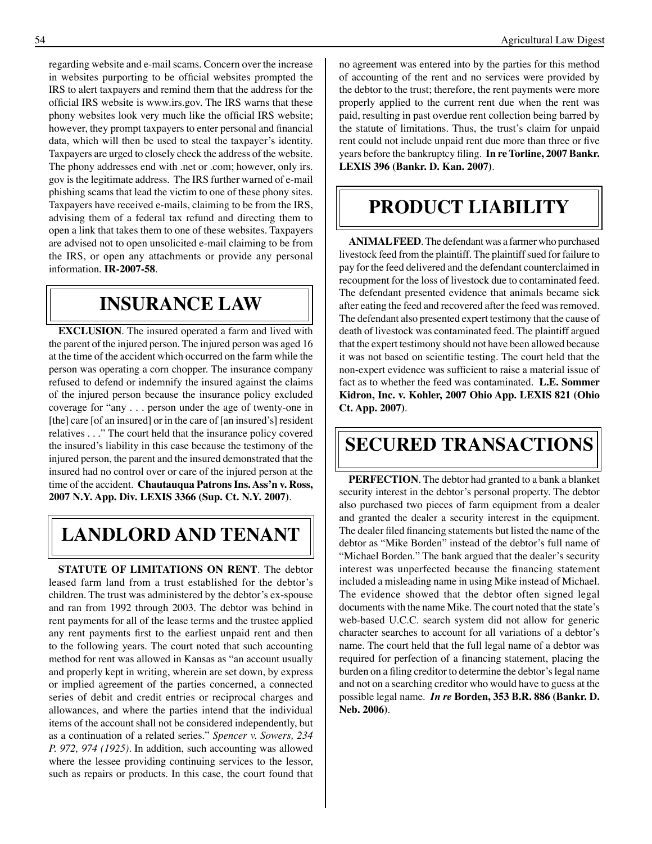regarding website and e-mail scams. Concern over the increase in websites purporting to be official websites prompted the IRS to alert taxpayers and remind them that the address for the official IRS website is www.irs.gov. The IRS warns that these phony websites look very much like the official IRS website; however, they prompt taxpayers to enter personal and financial data, which will then be used to steal the taxpayer's identity. Taxpayers are urged to closely check the address of the website. The phony addresses end with .net or .com; however, only irs. gov is the legitimate address. The IRS further warned of e-mail phishing scams that lead the victim to one of these phony sites. Taxpayers have received e-mails, claiming to be from the IRS, advising them of a federal tax refund and directing them to open a link that takes them to one of these websites. Taxpayers are advised not to open unsolicited e-mail claiming to be from the IRS, or open any attachments or provide any personal information. **IR-2007-58**.

### **Insurance law**

**EXCLUSION**. The insured operated a farm and lived with the parent of the injured person. The injured person was aged 16 at the time of the accident which occurred on the farm while the person was operating a corn chopper. The insurance company refused to defend or indemnify the insured against the claims of the injured person because the insurance policy excluded coverage for "any . . . person under the age of twenty-one in [the] care [of an insured] or in the care of [an insured's] resident relatives . . ." The court held that the insurance policy covered the insured's liability in this case because the testimony of the injured person, the parent and the insured demonstrated that the insured had no control over or care of the injured person at the time of the accident. **Chautauqua Patrons Ins. Ass'n v. Ross, 2007 N.Y. App. Div. LEXIS 3366 (Sup. Ct. N.Y. 2007)**.

## **Landlord and tenant**

**STATUTE OF LIMITATIONS ON RENT**. The debtor leased farm land from a trust established for the debtor's children. The trust was administered by the debtor's ex-spouse and ran from 1992 through 2003. The debtor was behind in rent payments for all of the lease terms and the trustee applied any rent payments first to the earliest unpaid rent and then to the following years. The court noted that such accounting method for rent was allowed in Kansas as "an account usually and properly kept in writing, wherein are set down, by express or implied agreement of the parties concerned, a connected series of debit and credit entries or reciprocal charges and allowances, and where the parties intend that the individual items of the account shall not be considered independently, but as a continuation of a related series." *Spencer v. Sowers, 234 P. 972, 974 (1925)*. In addition, such accounting was allowed where the lessee providing continuing services to the lessor, such as repairs or products. In this case, the court found that

no agreement was entered into by the parties for this method of accounting of the rent and no services were provided by the debtor to the trust; therefore, the rent payments were more properly applied to the current rent due when the rent was paid, resulting in past overdue rent collection being barred by the statute of limitations. Thus, the trust's claim for unpaid rent could not include unpaid rent due more than three or five years before the bankruptcy filing. **In re Torline, 2007 Bankr. LEXIS 396 (Bankr. D. Kan. 2007)**.

# **Product liability**

**ANIMAL FEED**. The defendant was a farmer who purchased livestock feed from the plaintiff. The plaintiff sued for failure to pay for the feed delivered and the defendant counterclaimed in recoupment for the loss of livestock due to contaminated feed. The defendant presented evidence that animals became sick after eating the feed and recovered after the feed was removed. The defendant also presented expert testimony that the cause of death of livestock was contaminated feed. The plaintiff argued that the expert testimony should not have been allowed because it was not based on scientific testing. The court held that the non-expert evidence was sufficient to raise a material issue of fact as to whether the feed was contaminated. **L.E. Sommer Kidron, Inc. v. Kohler, 2007 Ohio App. LEXIS 821 (Ohio Ct. App. 2007)**.

# **Secured transactions**

**PERFECTION**. The debtor had granted to a bank a blanket security interest in the debtor's personal property. The debtor also purchased two pieces of farm equipment from a dealer and granted the dealer a security interest in the equipment. The dealer filed financing statements but listed the name of the debtor as "Mike Borden" instead of the debtor's full name of "Michael Borden." The bank argued that the dealer's security interest was unperfected because the financing statement included a misleading name in using Mike instead of Michael. The evidence showed that the debtor often signed legal documents with the name Mike. The court noted that the state's web-based U.C.C. search system did not allow for generic character searches to account for all variations of a debtor's name. The court held that the full legal name of a debtor was required for perfection of a financing statement, placing the burden on a filing creditor to determine the debtor's legal name and not on a searching creditor who would have to guess at the possible legal name. *In re* **Borden, 353 B.R. 886 (Bankr. D. Neb. 2006)**.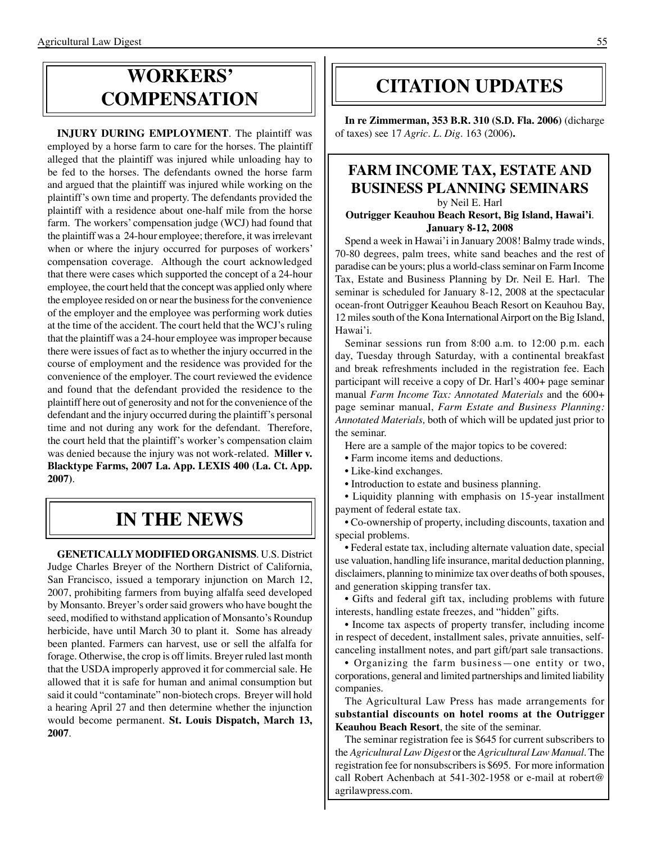# **Workers' compensation**

**INJURY DURING EMPLOYMENT**. The plaintiff was employed by a horse farm to care for the horses. The plaintiff alleged that the plaintiff was injured while unloading hay to be fed to the horses. The defendants owned the horse farm and argued that the plaintiff was injured while working on the plaintiff's own time and property. The defendants provided the plaintiff with a residence about one-half mile from the horse farm. The workers' compensation judge (WCJ) had found that the plaintiff was a 24-hour employee; therefore, it was irrelevant when or where the injury occurred for purposes of workers' compensation coverage. Although the court acknowledged that there were cases which supported the concept of a 24-hour employee, the court held that the concept was applied only where the employee resided on or near the business for the convenience of the employer and the employee was performing work duties at the time of the accident. The court held that the WCJ's ruling that the plaintiff was a 24-hour employee was improper because there were issues of fact as to whether the injury occurred in the course of employment and the residence was provided for the convenience of the employer. The court reviewed the evidence and found that the defendant provided the residence to the plaintiff here out of generosity and not for the convenience of the defendant and the injury occurred during the plaintiff's personal time and not during any work for the defendant. Therefore, the court held that the plaintiff's worker's compensation claim was denied because the injury was not work-related. **Miller v. Blacktype Farms, 2007 La. App. LEXIS 400 (La. Ct. App. 2007)**.

## **In the news**

**GENETICALLYMODIFIED ORGANISMS**. U.S. District Judge Charles Breyer of the Northern District of California, San Francisco, issued a temporary injunction on March 12, 2007, prohibiting farmers from buying alfalfa seed developed by Monsanto. Breyer's order said growers who have bought the seed, modified to withstand application of Monsanto's Roundup herbicide, have until March 30 to plant it. Some has already been planted. Farmers can harvest, use or sell the alfalfa for forage. Otherwise, the crop is off limits. Breyer ruled last month that the USDA improperly approved it for commercial sale. He allowed that it is safe for human and animal consumption but said it could "contaminate" non-biotech crops. Breyer will hold a hearing April 27 and then determine whether the injunction would become permanent. **St. Louis Dispatch, March 13, 2007**.

## **citation updates**

**In re Zimmerman, 353 B.R. 310 (S.D. Fla. 2006)** (dicharge of taxes) see 17 *Agric. L. Dig*. 163 (2006)**.**

### **FARM INCOME TAX, ESTATE AND BUSINESS PLANNING SEMINARS**

by Neil E. Harl

#### **Outrigger Keauhou Beach Resort, Big Island, Hawai'i**. **January 8-12, 2008**

Spend a week in Hawai'i in January 2008! Balmy trade winds, 70-80 degrees, palm trees, white sand beaches and the rest of paradise can be yours; plus a world-class seminar on Farm Income Tax, Estate and Business Planning by Dr. Neil E. Harl. The seminar is scheduled for January 8-12, 2008 at the spectacular ocean-front Outrigger Keauhou Beach Resort on Keauhou Bay, 12 miles south of the Kona International Airport on the Big Island, Hawai'i.

Seminar sessions run from 8:00 a.m. to 12:00 p.m. each day, Tuesday through Saturday, with a continental breakfast and break refreshments included in the registration fee. Each participant will receive a copy of Dr. Harl's 400+ page seminar manual *Farm Income Tax: Annotated Materials* and the 600+ page seminar manual, *Farm Estate and Business Planning: Annotated Materials,* both of which will be updated just prior to the seminar.

Here are a sample of the major topics to be covered:

- Farm income items and deductions.
- Like-kind exchanges.
- Introduction to estate and business planning.

• Liquidity planning with emphasis on 15-year installment payment of federal estate tax.

• Co-ownership of property, including discounts, taxation and special problems.

• Federal estate tax, including alternate valuation date, special use valuation, handling life insurance, marital deduction planning, disclaimers, planning to minimize tax over deaths of both spouses, and generation skipping transfer tax.

• Gifts and federal gift tax, including problems with future interests, handling estate freezes, and "hidden" gifts.

• Income tax aspects of property transfer, including income in respect of decedent, installment sales, private annuities, selfcanceling installment notes, and part gift/part sale transactions.

• Organizing the farm business—one entity or two, corporations, general and limited partnerships and limited liability companies.

The Agricultural Law Press has made arrangements for **substantial discounts on hotel rooms at the Outrigger Keauhou Beach Resort**, the site of the seminar.

The seminar registration fee is \$645 for current subscribers to the *Agricultural Law Digest* or the *Agricultural Law Manual*. The registration fee for nonsubscribers is \$695. For more information call Robert Achenbach at 541-302-1958 or e-mail at robert@ agrilawpress.com.